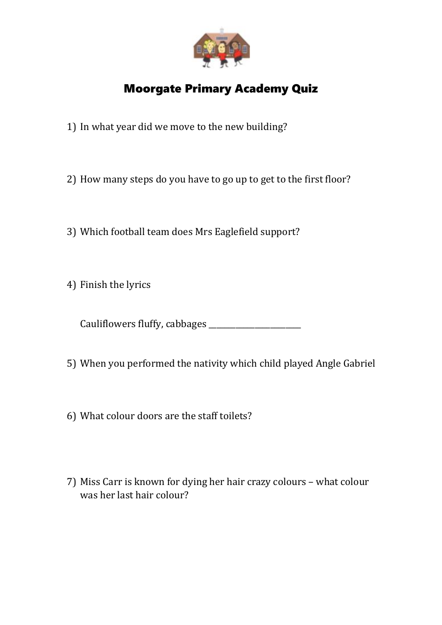

## Moorgate Primary Academy Quiz

- 1) In what year did we move to the new building?
- 2) How many steps do you have to go up to get to the first floor?
- 3) Which football team does Mrs Eaglefield support?
- 4) Finish the lyrics

Cauliflowers fluffy, cabbages \_\_\_\_\_\_\_\_\_\_\_\_\_\_\_\_\_\_\_\_\_\_\_\_

- 5) When you performed the nativity which child played Angle Gabriel
- 6) What colour doors are the staff toilets?
- 7) Miss Carr is known for dying her hair crazy colours what colour was her last hair colour?